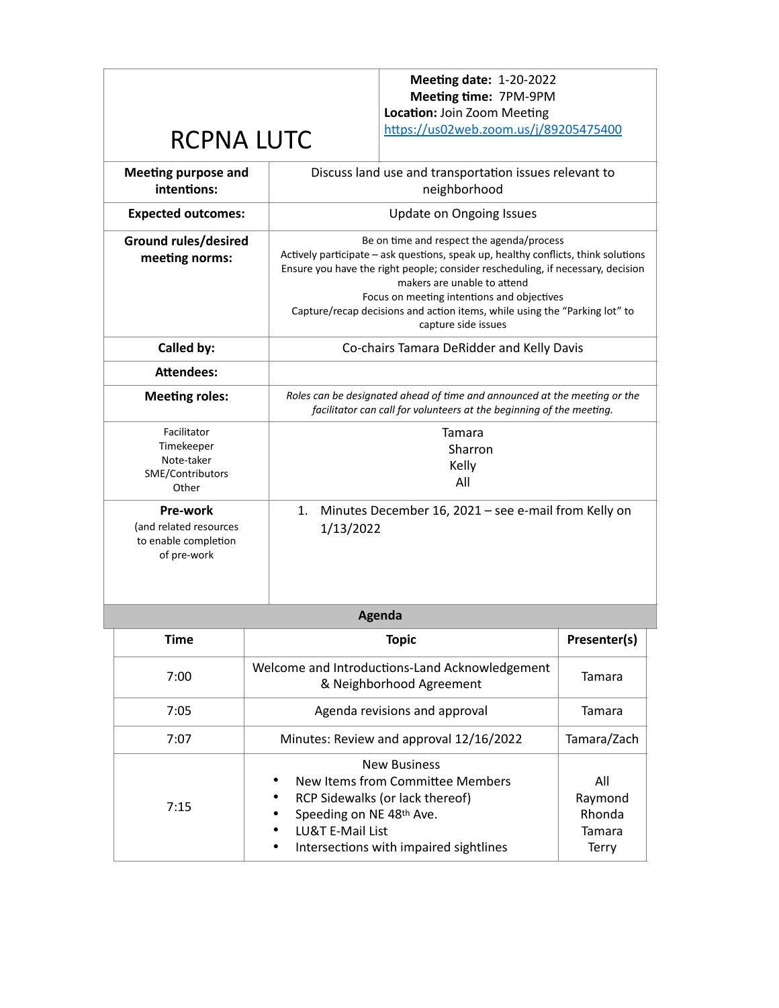**Meeting date:** 1-20-2022 **Meeting time:** 7PM-9PM **Location:** Join Zoom Meeting

<https://us02web.zoom.us/j/89205475400>

## RCPNA LUTC

| <b>Meeting purpose and</b><br>intentions:                                 | Discuss land use and transportation issues relevant to<br>neighborhood                                                                                                                                                                                                                                                                                                                               |  |  |
|---------------------------------------------------------------------------|------------------------------------------------------------------------------------------------------------------------------------------------------------------------------------------------------------------------------------------------------------------------------------------------------------------------------------------------------------------------------------------------------|--|--|
| <b>Expected outcomes:</b>                                                 | <b>Update on Ongoing Issues</b>                                                                                                                                                                                                                                                                                                                                                                      |  |  |
| <b>Ground rules/desired</b><br>meeting norms:                             | Be on time and respect the agenda/process<br>Actively participate – ask questions, speak up, healthy conflicts, think solutions<br>Ensure you have the right people; consider rescheduling, if necessary, decision<br>makers are unable to attend<br>Focus on meeting intentions and objectives<br>Capture/recap decisions and action items, while using the "Parking lot" to<br>capture side issues |  |  |
| Called by:                                                                | Co-chairs Tamara DeRidder and Kelly Davis                                                                                                                                                                                                                                                                                                                                                            |  |  |
| <b>Attendees:</b>                                                         |                                                                                                                                                                                                                                                                                                                                                                                                      |  |  |
| <b>Meeting roles:</b>                                                     | Roles can be designated ahead of time and announced at the meeting or the<br>facilitator can call for volunteers at the beginning of the meeting.                                                                                                                                                                                                                                                    |  |  |
| Facilitator<br>Timekeeper<br>Note-taker<br>SME/Contributors<br>Other      | Tamara<br>Sharron<br>Kelly<br>All                                                                                                                                                                                                                                                                                                                                                                    |  |  |
| Pre-work<br>(and related resources<br>to enable completion<br>of pre-work | Minutes December 16, 2021 - see e-mail from Kelly on<br>1.<br>1/13/2022                                                                                                                                                                                                                                                                                                                              |  |  |

| Agenda      |                                                                                                                                                                                                                          |                                             |  |  |  |  |  |
|-------------|--------------------------------------------------------------------------------------------------------------------------------------------------------------------------------------------------------------------------|---------------------------------------------|--|--|--|--|--|
| <b>Time</b> | <b>Topic</b>                                                                                                                                                                                                             | Presenter(s)                                |  |  |  |  |  |
| 7:00        | Welcome and Introductions-Land Acknowledgement<br>& Neighborhood Agreement                                                                                                                                               | Tamara                                      |  |  |  |  |  |
| 7:05        | Agenda revisions and approval                                                                                                                                                                                            | Tamara                                      |  |  |  |  |  |
| 7:07        | Minutes: Review and approval 12/16/2022                                                                                                                                                                                  | Tamara/Zach                                 |  |  |  |  |  |
| 7:15        | <b>New Business</b><br>New Items from Committee Members<br>٠<br>RCP Sidewalks (or lack thereof)<br>٠<br>Speeding on NE 48th Ave.<br>٠<br><b>LU&amp;T E-Mail List</b><br>٠<br>Intersections with impaired sightlines<br>٠ | All<br>Raymond<br>Rhonda<br>Tamara<br>Terry |  |  |  |  |  |